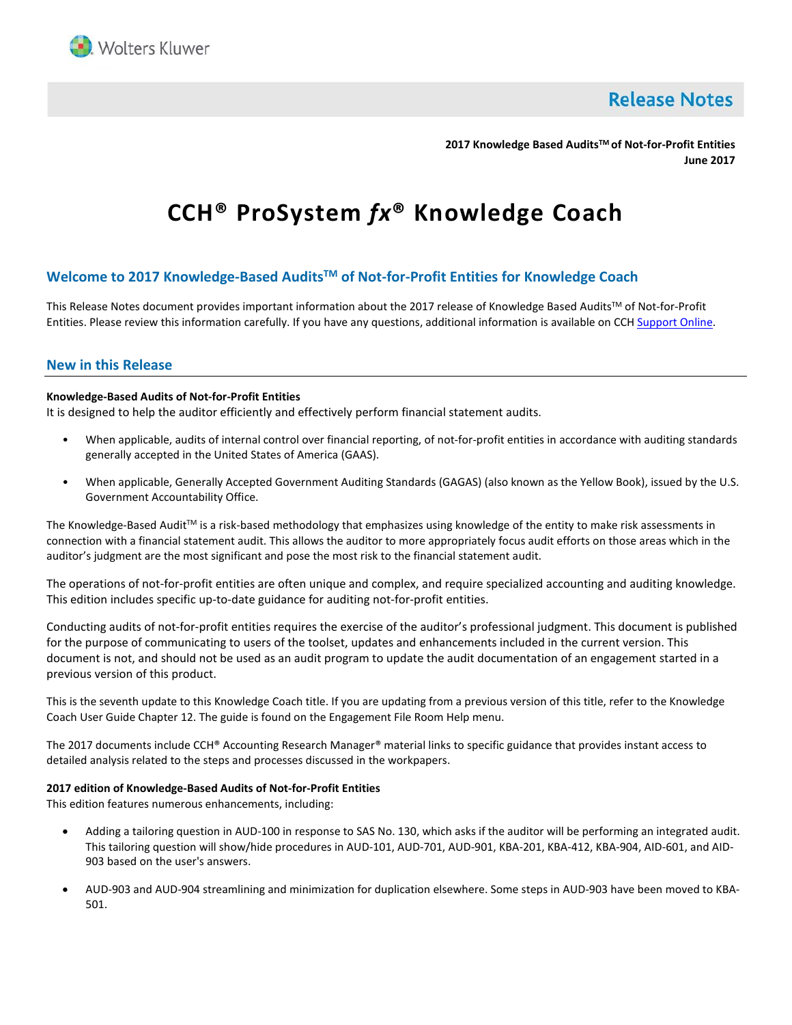

**Release Notes** 

**2017 Knowledge Based AuditsTM of Not-for-Profit Entities June 2017**

# **CCH® ProSystem** *fx***® Knowledge Coach**

# **Welcome to 2017 Knowledge-Based AuditsTM of Not-for-Profit Entities for Knowledge Coach**

This Release Notes document provides important information about the 2017 release of Knowledge Based Audits™ of Not-for-Profit Entities. Please review this information carefully. If you have any questions, additional information is available on CCH [Support Online.](http://support.cch.com/productsupport/)

# **New in this Release**

## **Knowledge-Based Audits of Not-for-Profit Entities**

It is designed to help the auditor efficiently and effectively perform financial statement audits.

- When applicable, audits of internal control over financial reporting, of not-for-profit entities in accordance with auditing standards generally accepted in the United States of America (GAAS).
- When applicable, Generally Accepted Government Auditing Standards (GAGAS) (also known as the Yellow Book), issued by the U.S. Government Accountability Office.

The Knowledge-Based Audit™ is a risk-based methodology that emphasizes using knowledge of the entity to make risk assessments in connection with a financial statement audit. This allows the auditor to more appropriately focus audit efforts on those areas which in the auditor's judgment are the most significant and pose the most risk to the financial statement audit.

The operations of not-for-profit entities are often unique and complex, and require specialized accounting and auditing knowledge. This edition includes specific up-to-date guidance for auditing not-for-profit entities.

Conducting audits of not-for-profit entities requires the exercise of the auditor's professional judgment. This document is published for the purpose of communicating to users of the toolset, updates and enhancements included in the current version. This document is not, and should not be used as an audit program to update the audit documentation of an engagement started in a previous version of this product.

This is the seventh update to this Knowledge Coach title. If you are updating from a previous version of this title, refer to the Knowledge Coach User Guide Chapter 12. The guide is found on the Engagement File Room Help menu.

The 2017 documents include CCH® Accounting Research Manager® material links to specific guidance that provides instant access to detailed analysis related to the steps and processes discussed in the workpapers.

#### **2017 edition of Knowledge-Based Audits of Not-for-Profit Entities**

This edition features numerous enhancements, including:

- Adding a tailoring question in AUD-100 in response to SAS No. 130, which asks if the auditor will be performing an integrated audit. This tailoring question will show/hide procedures in AUD-101, AUD-701, AUD-901, KBA-201, KBA-412, KBA-904, AID-601, and AID-903 based on the user's answers.
- AUD-903 and AUD-904 streamlining and minimization for duplication elsewhere. Some steps in AUD-903 have been moved to KBA-501.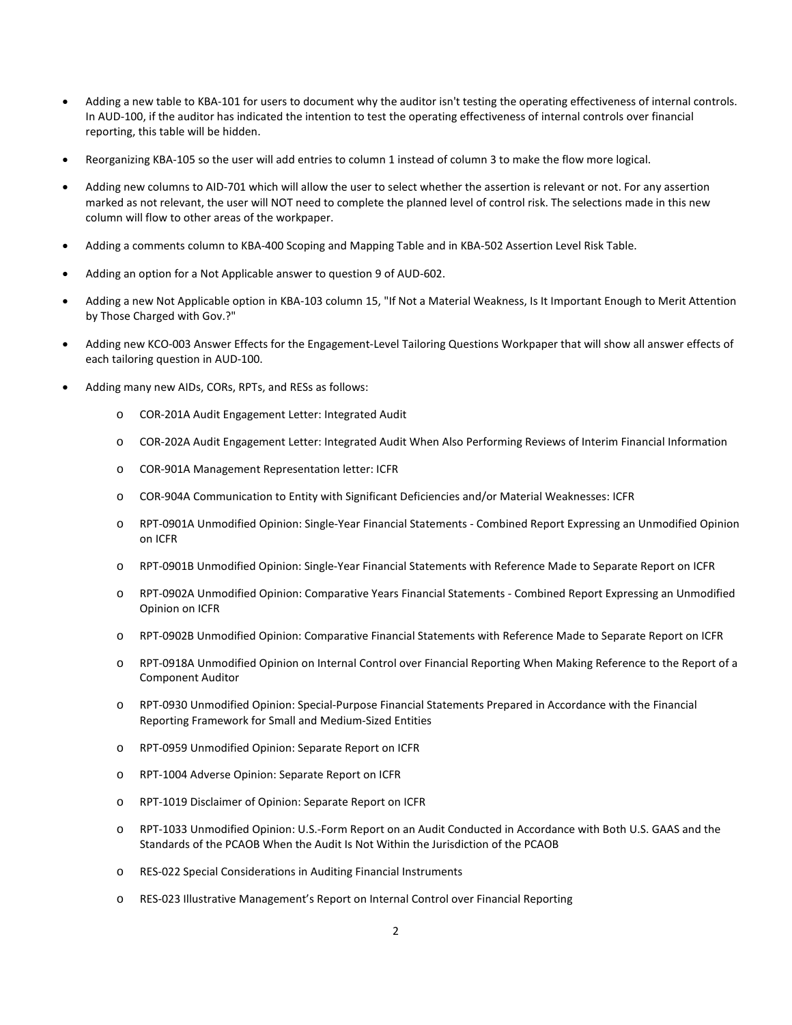- Adding a new table to KBA-101 for users to document why the auditor isn't testing the operating effectiveness of internal controls. In AUD-100, if the auditor has indicated the intention to test the operating effectiveness of internal controls over financial reporting, this table will be hidden.
- Reorganizing KBA-105 so the user will add entries to column 1 instead of column 3 to make the flow more logical.
- Adding new columns to AID-701 which will allow the user to select whether the assertion is relevant or not. For any assertion marked as not relevant, the user will NOT need to complete the planned level of control risk. The selections made in this new column will flow to other areas of the workpaper.
- Adding a comments column to KBA-400 Scoping and Mapping Table and in KBA-502 Assertion Level Risk Table.
- Adding an option for a Not Applicable answer to question 9 of AUD-602.
- Adding a new Not Applicable option in KBA-103 column 15, "If Not a Material Weakness, Is It Important Enough to Merit Attention by Those Charged with Gov.?"
- Adding new KCO-003 Answer Effects for the Engagement-Level Tailoring Questions Workpaper that will show all answer effects of each tailoring question in AUD-100.
- Adding many new AIDs, CORs, RPTs, and RESs as follows:
	- o COR-201A Audit Engagement Letter: Integrated Audit
	- o COR-202A Audit Engagement Letter: Integrated Audit When Also Performing Reviews of Interim Financial Information
	- o COR-901A Management Representation letter: ICFR
	- o COR-904A Communication to Entity with Significant Deficiencies and/or Material Weaknesses: ICFR
	- o RPT-0901A Unmodified Opinion: Single-Year Financial Statements Combined Report Expressing an Unmodified Opinion on ICFR
	- o RPT-0901B Unmodified Opinion: Single-Year Financial Statements with Reference Made to Separate Report on ICFR
	- o RPT-0902A Unmodified Opinion: Comparative Years Financial Statements Combined Report Expressing an Unmodified Opinion on ICFR
	- o RPT-0902B Unmodified Opinion: Comparative Financial Statements with Reference Made to Separate Report on ICFR
	- o RPT-0918A Unmodified Opinion on Internal Control over Financial Reporting When Making Reference to the Report of a Component Auditor
	- o RPT-0930 Unmodified Opinion: Special-Purpose Financial Statements Prepared in Accordance with the Financial Reporting Framework for Small and Medium-Sized Entities
	- o RPT-0959 Unmodified Opinion: Separate Report on ICFR
	- o RPT-1004 Adverse Opinion: Separate Report on ICFR
	- o RPT-1019 Disclaimer of Opinion: Separate Report on ICFR
	- o RPT-1033 Unmodified Opinion: U.S.-Form Report on an Audit Conducted in Accordance with Both U.S. GAAS and the Standards of the PCAOB When the Audit Is Not Within the Jurisdiction of the PCAOB
	- o RES-022 Special Considerations in Auditing Financial Instruments
	- o RES-023 Illustrative Management's Report on Internal Control over Financial Reporting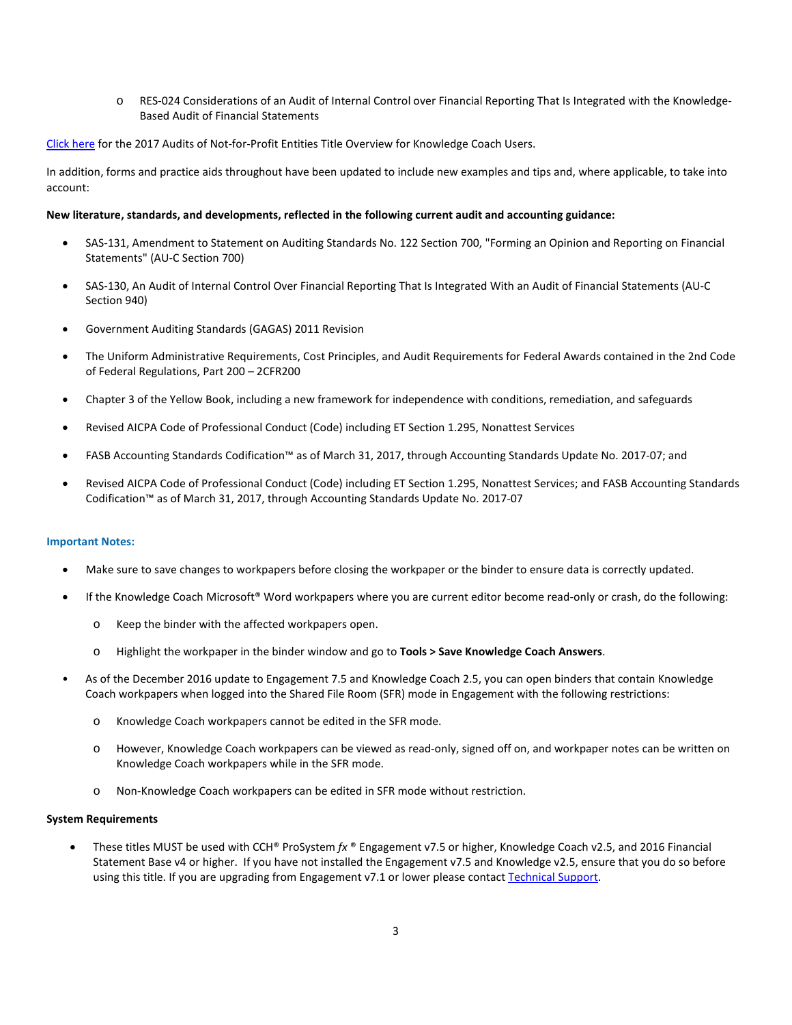o RES-024 Considerations of an Audit of Internal Control over Financial Reporting That Is Integrated with the Knowledge-Based Audit of Financial Statements

[Click here](http://support.cch.com/updates/KnowledgeCoach/pdf/guides_tab/2017%20NFP%20Entities%20Title%20Overview%20for%20Knowledge%20Coach%20Users.pdf) for the 2017 Audits of Not-for-Profit Entities Title Overview for Knowledge Coach Users.

In addition, forms and practice aids throughout have been updated to include new examples and tips and, where applicable, to take into account:

## **New literature, standards, and developments, reflected in the following current audit and accounting guidance:**

- SAS-131, Amendment to Statement on Auditing Standards No. 122 Section 700, "Forming an Opinion and Reporting on Financial Statements" (AU-C Section 700)
- SAS-130, An Audit of Internal Control Over Financial Reporting That Is Integrated With an Audit of Financial Statements (AU-C Section 940)
- Government Auditing Standards (GAGAS) 2011 Revision
- The Uniform Administrative Requirements, Cost Principles, and Audit Requirements for Federal Awards contained in the 2nd Code of Federal Regulations, Part 200 – 2CFR200
- Chapter 3 of the Yellow Book, including a new framework for independence with conditions, remediation, and safeguards
- Revised AICPA Code of Professional Conduct (Code) including ET Section 1.295, Nonattest Services
- FASB Accounting Standards Codification™ as of March 31, 2017, through Accounting Standards Update No. 2017-07; and
- Revised AICPA Code of Professional Conduct (Code) including ET Section 1.295, Nonattest Services; and FASB Accounting Standards Codification™ as of March 31, 2017, through Accounting Standards Update No. 2017-07

#### **Important Notes:**

- Make sure to save changes to workpapers before closing the workpaper or the binder to ensure data is correctly updated.
- If the Knowledge Coach Microsoft® Word workpapers where you are current editor become read-only or crash, do the following:
	- o Keep the binder with the affected workpapers open.
	- o Highlight the workpaper in the binder window and go to **Tools > Save Knowledge Coach Answers**.
- As of the December 2016 update to Engagement 7.5 and Knowledge Coach 2.5, you can open binders that contain Knowledge Coach workpapers when logged into the Shared File Room (SFR) mode in Engagement with the following restrictions:
	- o Knowledge Coach workpapers cannot be edited in the SFR mode.
	- o However, Knowledge Coach workpapers can be viewed as read-only, signed off on, and workpaper notes can be written on Knowledge Coach workpapers while in the SFR mode.
	- Non-Knowledge Coach workpapers can be edited in SFR mode without restriction.

#### **System Requirements**

• These titles MUST be used with CCH® ProSystem *fx* ® Engagement v7.5 or higher, Knowledge Coach v2.5, and 2016 Financial Statement Base v4 or higher. If you have not installed the Engagement v7.5 and Knowledge v2.5, ensure that you do so before using this title. If you are upgrading from Engagement v7.1 or lower please contact [Technical Support.](https://support.cch.com/contact)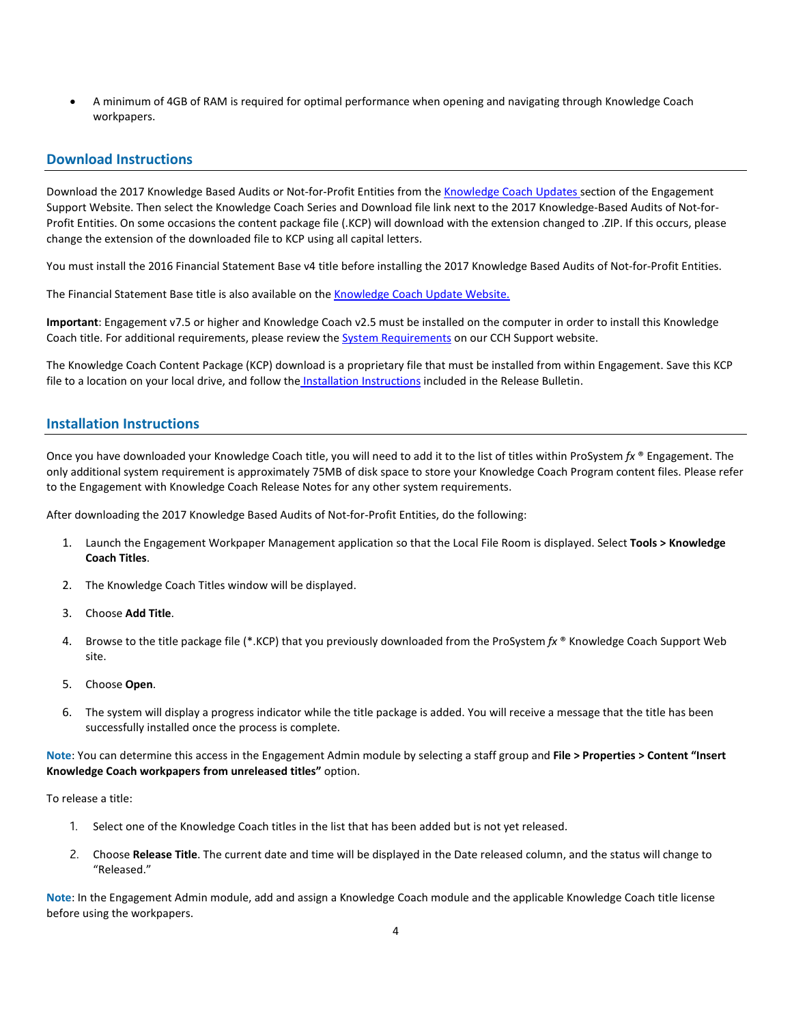• A minimum of 4GB of RAM is required for optimal performance when opening and navigating through Knowledge Coach workpapers.

# **Download Instructions**

Download the 2017 Knowledge Based Audits or Not-for-Profit Entities from th[e Knowledge Coach Updates](http://support.cch.com/updates/KnowledgeCoach) section of the Engagement Support Website. Then select the Knowledge Coach Series and Download file link next to the 2017 Knowledge-Based Audits of Not-for-Profit Entities. On some occasions the content package file (.KCP) will download with the extension changed to .ZIP. If this occurs, please change the extension of the downloaded file to KCP using all capital letters.

You must install the 2016 Financial Statement Base v4 title before installing the 2017 Knowledge Based Audits of Not-for-Profit Entities.

The Financial Statement Base title is also available on th[e Knowledge Coach Update Website.](http://support.cch.com/updates/KnowledgeCoach)

**Important**: Engagement v7.5 or higher and Knowledge Coach v2.5 must be installed on the computer in order to install this Knowledge Coach title. For additional requirements, please review the [System Requirements](https://support.cch.com/kb/solution.aspx/sw46708#Workpaper%20Management%20Module) on our CCH Support website.

The Knowledge Coach Content Package (KCP) download is a proprietary file that must be installed from within Engagement. Save this KCP file to a location on your local drive, and follow the Installation Instructions included in the Release Bulletin.

# **Installation Instructions**

Once you have downloaded your Knowledge Coach title, you will need to add it to the list of titles within ProSystem *fx* ® Engagement. The only additional system requirement is approximately 75MB of disk space to store your Knowledge Coach Program content files. Please refer to the Engagement with Knowledge Coach Release Notes for any other system requirements.

After downloading the 2017 Knowledge Based Audits of Not-for-Profit Entities, do the following:

- 1. Launch the Engagement Workpaper Management application so that the Local File Room is displayed. Select **Tools > Knowledge Coach Titles**.
- 2. The Knowledge Coach Titles window will be displayed.
- 3. Choose **Add Title**.
- 4. Browse to the title package file (\*.KCP) that you previously downloaded from the ProSystem *fx* ® Knowledge Coach Support Web site.
- 5. Choose **Open**.
- 6. The system will display a progress indicator while the title package is added. You will receive a message that the title has been successfully installed once the process is complete.

**Note**: You can determine this access in the Engagement Admin module by selecting a staff group and **File > Properties > Content "Insert Knowledge Coach workpapers from unreleased titles"** option.

To release a title:

- 1. Select one of the Knowledge Coach titles in the list that has been added but is not yet released.
- 2. Choose **Release Title**. The current date and time will be displayed in the Date released column, and the status will change to "Released."

**Note**: In the Engagement Admin module, add and assign a Knowledge Coach module and the applicable Knowledge Coach title license before using the workpapers.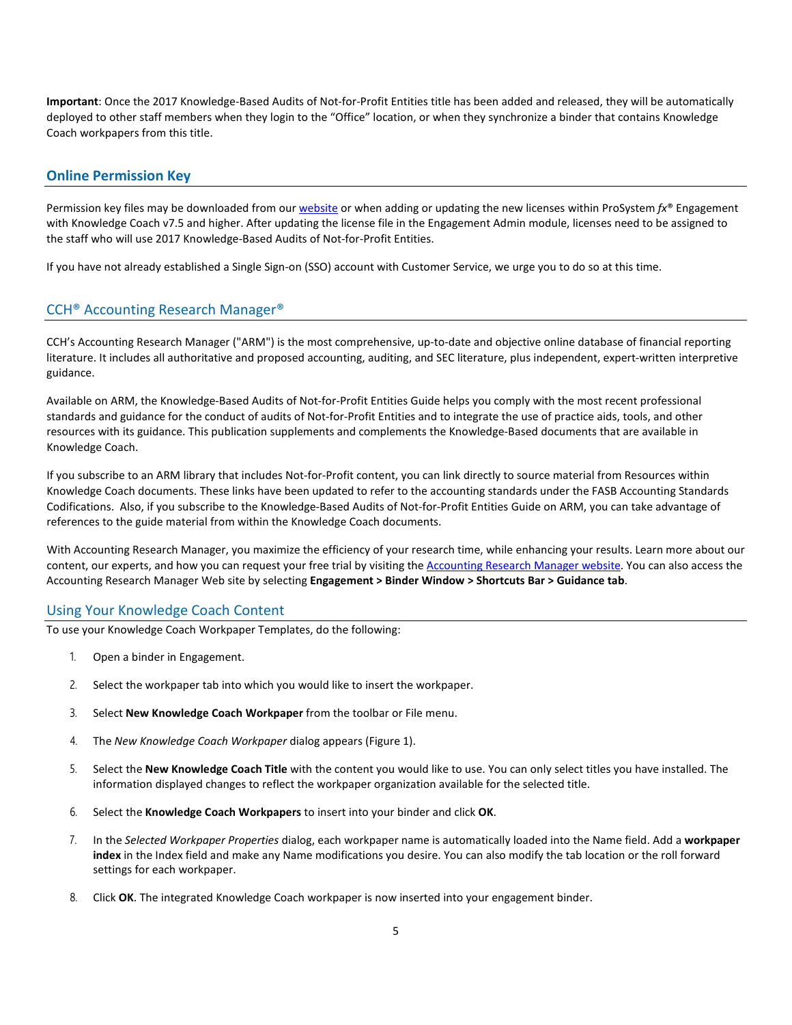**Important**: Once the 2017 Knowledge-Based Audits of Not-for-Profit Entities title has been added and released, they will be automatically deployed to other staff members when they login to the "Office" location, or when they synchronize a binder that contains Knowledge Coach workpapers from this title.

## **Online Permission Key**

Permission key files may be downloaded from ou[r website](https://prosystemfxsupport.tax.cchgroup.com/permkey/download.aspx) or when adding or updating the new licenses within ProSystem *fx*® Engagement with Knowledge Coach v7.5 and higher. After updating the license file in the Engagement Admin module, licenses need to be assigned to the staff who will use 2017 Knowledge-Based Audits of Not-for-Profit Entities.

If you have not already established a Single Sign-on (SSO) account with Customer Service, we urge you to do so at this time.

# CCH® Accounting Research Manager®

CCH's Accounting Research Manager ("ARM") is the most comprehensive, up-to-date and objective online database of financial reporting literature. It includes all authoritative and proposed accounting, auditing, and SEC literature, plus independent, expert-written interpretive guidance.

Available on ARM, the Knowledge-Based Audits of Not-for-Profit Entities Guide helps you comply with the most recent professional standards and guidance for the conduct of audits of Not-for-Profit Entities and to integrate the use of practice aids, tools, and other resources with its guidance. This publication supplements and complements the Knowledge-Based documents that are available in Knowledge Coach.

If you subscribe to an ARM library that includes Not-for-Profit content, you can link directly to source material from Resources within Knowledge Coach documents. These links have been updated to refer to the accounting standards under the FASB Accounting Standards Codifications. Also, if you subscribe to the Knowledge-Based Audits of Not-for-Profit Entities Guide on ARM, you can take advantage of references to the guide material from within the Knowledge Coach documents.

With Accounting Research Manager, you maximize the efficiency of your research time, while enhancing your results. Learn more about our content, our experts, and how you can request your free trial by visiting the [Accounting Research Manager website.](http://www.accountingresearchmanager.com/) You can also access the Accounting Research Manager Web site by selecting **Engagement > Binder Window > Shortcuts Bar > Guidance tab**.

# Using Your Knowledge Coach Content

To use your Knowledge Coach Workpaper Templates, do the following:

- 1. Open a binder in Engagement.
- 2. Select the workpaper tab into which you would like to insert the workpaper.
- 3. Select **New Knowledge Coach Workpaper** from the toolbar or File menu.
- 4. The *New Knowledge Coach Workpaper* dialog appears (Figure 1).
- 5. Select the **New Knowledge Coach Title** with the content you would like to use. You can only select titles you have installed. The information displayed changes to reflect the workpaper organization available for the selected title.
- 6. Select the **Knowledge Coach Workpapers** to insert into your binder and click **OK**.
- 7. In the *Selected Workpaper Properties* dialog, each workpaper name is automatically loaded into the Name field. Add a **workpaper index** in the Index field and make any Name modifications you desire. You can also modify the tab location or the roll forward settings for each workpaper.
- 8. Click **OK**. The integrated Knowledge Coach workpaper is now inserted into your engagement binder.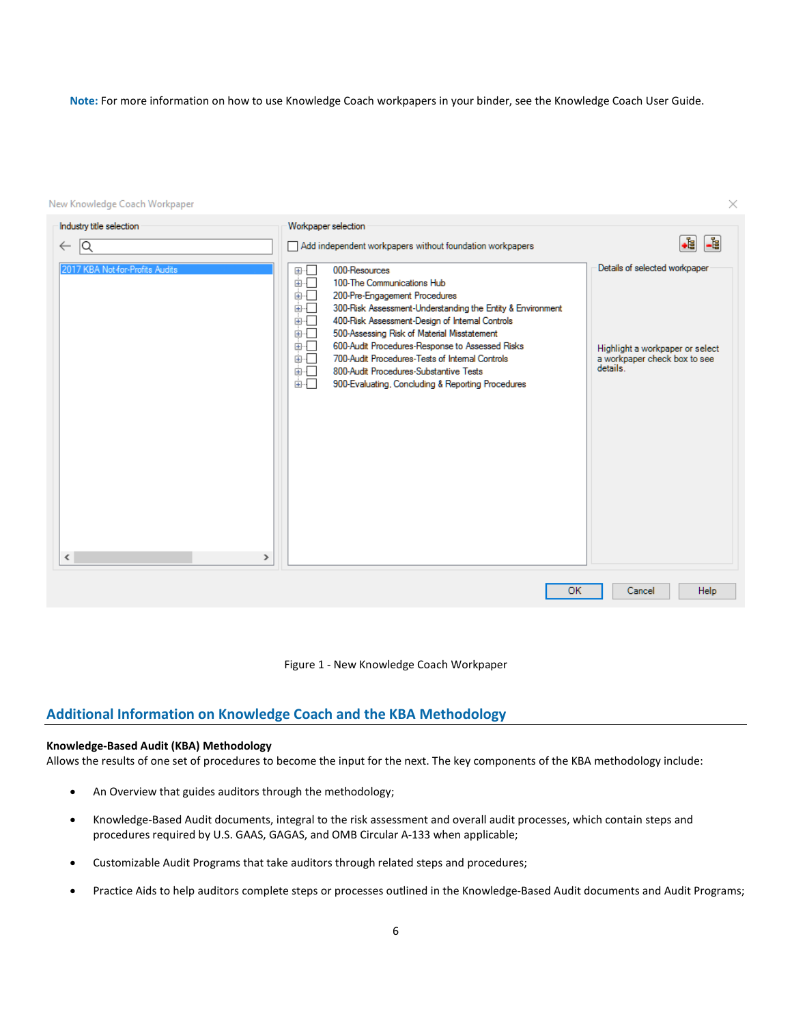**Note:** For more information on how to use Knowledge Coach workpapers in your binder, see the Knowledge Coach User Guide.

 $\times$ 

New Knowledge Coach Workpaper



Figure 1 - New Knowledge Coach Workpaper

# **Additional Information on Knowledge Coach and the KBA Methodology**

## **Knowledge-Based Audit (KBA) Methodology**

Allows the results of one set of procedures to become the input for the next. The key components of the KBA methodology include:

- An Overview that guides auditors through the methodology;
- Knowledge-Based Audit documents, integral to the risk assessment and overall audit processes, which contain steps and procedures required by U.S. GAAS, GAGAS, and OMB Circular A-133 when applicable;
- Customizable Audit Programs that take auditors through related steps and procedures;
- Practice Aids to help auditors complete steps or processes outlined in the Knowledge-Based Audit documents and Audit Programs;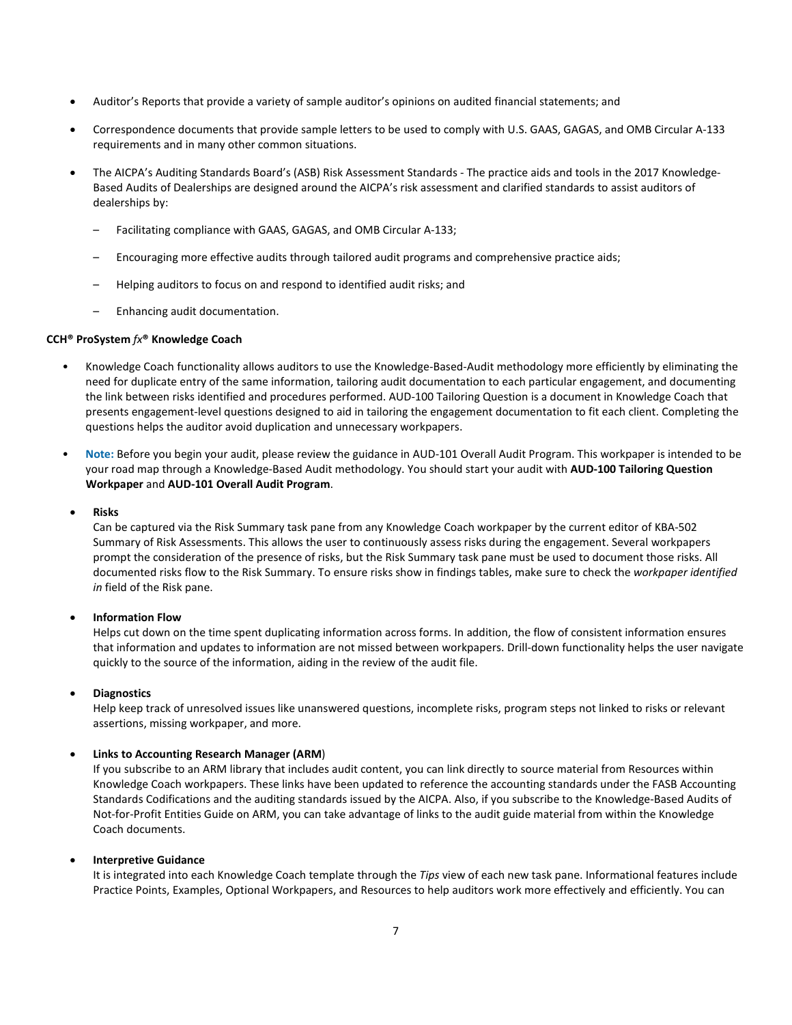- Auditor's Reports that provide a variety of sample auditor's opinions on audited financial statements; and
- Correspondence documents that provide sample letters to be used to comply with U.S. GAAS, GAGAS, and OMB Circular A-133 requirements and in many other common situations.
- The AICPA's Auditing Standards Board's (ASB) Risk Assessment Standards The practice aids and tools in the 2017 Knowledge-Based Audits of Dealerships are designed around the AICPA's risk assessment and clarified standards to assist auditors of dealerships by:
	- Facilitating compliance with GAAS, GAGAS, and OMB Circular A-133;
	- Encouraging more effective audits through tailored audit programs and comprehensive practice aids;
	- Helping auditors to focus on and respond to identified audit risks; and
	- Enhancing audit documentation.

## **CCH® ProSystem** *fx***® Knowledge Coach**

- Knowledge Coach functionality allows auditors to use the Knowledge-Based-Audit methodology more efficiently by eliminating the need for duplicate entry of the same information, tailoring audit documentation to each particular engagement, and documenting the link between risks identified and procedures performed. AUD-100 Tailoring Question is a document in Knowledge Coach that presents engagement-level questions designed to aid in tailoring the engagement documentation to fit each client. Completing the questions helps the auditor avoid duplication and unnecessary workpapers.
- **Note:** Before you begin your audit, please review the guidance in AUD-101 Overall Audit Program. This workpaper is intended to be your road map through a Knowledge-Based Audit methodology. You should start your audit with **AUD-100 Tailoring Question Workpaper** and **AUD-101 Overall Audit Program**.
- **Risks**

Can be captured via the Risk Summary task pane from any Knowledge Coach workpaper by the current editor of KBA-502 Summary of Risk Assessments. This allows the user to continuously assess risks during the engagement. Several workpapers prompt the consideration of the presence of risks, but the Risk Summary task pane must be used to document those risks. All documented risks flow to the Risk Summary. To ensure risks show in findings tables, make sure to check the *workpaper identified in* field of the Risk pane.

## • **Information Flow**

Helps cut down on the time spent duplicating information across forms. In addition, the flow of consistent information ensures that information and updates to information are not missed between workpapers. Drill-down functionality helps the user navigate quickly to the source of the information, aiding in the review of the audit file.

## • **Diagnostics**

Help keep track of unresolved issues like unanswered questions, incomplete risks, program steps not linked to risks or relevant assertions, missing workpaper, and more.

#### • **Links to Accounting Research Manager (ARM**)

If you subscribe to an ARM library that includes audit content, you can link directly to source material from Resources within Knowledge Coach workpapers. These links have been updated to reference the accounting standards under the FASB Accounting Standards Codifications and the auditing standards issued by the AICPA. Also, if you subscribe to the Knowledge-Based Audits of Not-for-Profit Entities Guide on ARM, you can take advantage of links to the audit guide material from within the Knowledge Coach documents.

#### • **Interpretive Guidance**

It is integrated into each Knowledge Coach template through the *Tips* view of each new task pane. Informational features include Practice Points, Examples, Optional Workpapers, and Resources to help auditors work more effectively and efficiently. You can